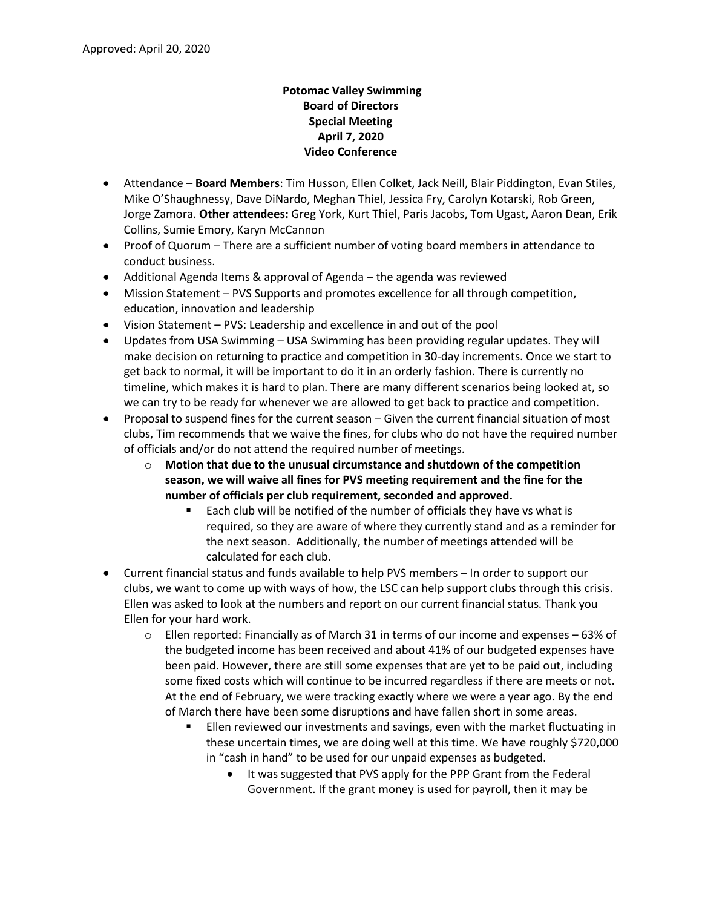## **Potomac Valley Swimming Board of Directors Special Meeting April 7, 2020 Video Conference**

- Attendance **Board Members**: Tim Husson, Ellen Colket, Jack Neill, Blair Piddington, Evan Stiles, Mike O'Shaughnessy, Dave DiNardo, Meghan Thiel, Jessica Fry, Carolyn Kotarski, Rob Green, Jorge Zamora. **Other attendees:** Greg York, Kurt Thiel, Paris Jacobs, Tom Ugast, Aaron Dean, Erik Collins, Sumie Emory, Karyn McCannon
- Proof of Quorum There are a sufficient number of voting board members in attendance to conduct business.
- Additional Agenda Items & approval of Agenda the agenda was reviewed
- Mission Statement PVS Supports and promotes excellence for all through competition, education, innovation and leadership
- Vision Statement PVS: Leadership and excellence in and out of the pool
- Updates from USA Swimming USA Swimming has been providing regular updates. They will make decision on returning to practice and competition in 30-day increments. Once we start to get back to normal, it will be important to do it in an orderly fashion. There is currently no timeline, which makes it is hard to plan. There are many different scenarios being looked at, so we can try to be ready for whenever we are allowed to get back to practice and competition.
- Proposal to suspend fines for the current season Given the current financial situation of most clubs, Tim recommends that we waive the fines, for clubs who do not have the required number of officials and/or do not attend the required number of meetings.
	- o **Motion that due to the unusual circumstance and shutdown of the competition season, we will waive all fines for PVS meeting requirement and the fine for the number of officials per club requirement, seconded and approved.** 
		- Each club will be notified of the number of officials they have vs what is required, so they are aware of where they currently stand and as a reminder for the next season. Additionally, the number of meetings attended will be calculated for each club.
- Current financial status and funds available to help PVS members In order to support our clubs, we want to come up with ways of how, the LSC can help support clubs through this crisis. Ellen was asked to look at the numbers and report on our current financial status. Thank you Ellen for your hard work.
	- $\circ$  Ellen reported: Financially as of March 31 in terms of our income and expenses 63% of the budgeted income has been received and about 41% of our budgeted expenses have been paid. However, there are still some expenses that are yet to be paid out, including some fixed costs which will continue to be incurred regardless if there are meets or not. At the end of February, we were tracking exactly where we were a year ago. By the end of March there have been some disruptions and have fallen short in some areas.
		- Ellen reviewed our investments and savings, even with the market fluctuating in these uncertain times, we are doing well at this time. We have roughly \$720,000 in "cash in hand" to be used for our unpaid expenses as budgeted.
			- It was suggested that PVS apply for the PPP Grant from the Federal Government. If the grant money is used for payroll, then it may be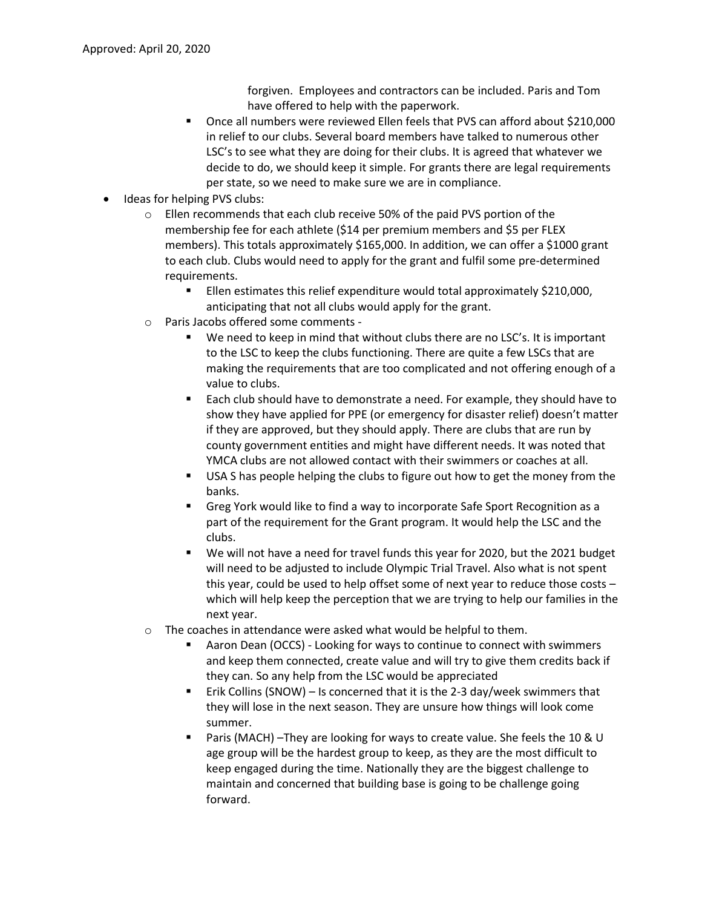forgiven. Employees and contractors can be included. Paris and Tom have offered to help with the paperwork.

- Once all numbers were reviewed Ellen feels that PVS can afford about \$210,000 in relief to our clubs. Several board members have talked to numerous other LSC's to see what they are doing for their clubs. It is agreed that whatever we decide to do, we should keep it simple. For grants there are legal requirements per state, so we need to make sure we are in compliance.
- Ideas for helping PVS clubs:
	- o Ellen recommends that each club receive 50% of the paid PVS portion of the membership fee for each athlete (\$14 per premium members and \$5 per FLEX members). This totals approximately \$165,000. In addition, we can offer a \$1000 grant to each club. Clubs would need to apply for the grant and fulfil some pre-determined requirements.
		- Ellen estimates this relief expenditure would total approximately \$210,000, anticipating that not all clubs would apply for the grant.
	- o Paris Jacobs offered some comments
		- We need to keep in mind that without clubs there are no LSC's. It is important to the LSC to keep the clubs functioning. There are quite a few LSCs that are making the requirements that are too complicated and not offering enough of a value to clubs.
		- Each club should have to demonstrate a need. For example, they should have to show they have applied for PPE (or emergency for disaster relief) doesn't matter if they are approved, but they should apply. There are clubs that are run by county government entities and might have different needs. It was noted that YMCA clubs are not allowed contact with their swimmers or coaches at all.
		- **■** USA S has people helping the clubs to figure out how to get the money from the banks.
		- Greg York would like to find a way to incorporate Safe Sport Recognition as a part of the requirement for the Grant program. It would help the LSC and the clubs.
		- We will not have a need for travel funds this year for 2020, but the 2021 budget will need to be adjusted to include Olympic Trial Travel. Also what is not spent this year, could be used to help offset some of next year to reduce those costs – which will help keep the perception that we are trying to help our families in the next year.
	- o The coaches in attendance were asked what would be helpful to them.
		- Aaron Dean (OCCS) Looking for ways to continue to connect with swimmers and keep them connected, create value and will try to give them credits back if they can. So any help from the LSC would be appreciated
		- Erik Collins (SNOW) Is concerned that it is the 2-3 day/week swimmers that they will lose in the next season. They are unsure how things will look come summer.
		- Paris (MACH) –They are looking for ways to create value. She feels the 10 & U age group will be the hardest group to keep, as they are the most difficult to keep engaged during the time. Nationally they are the biggest challenge to maintain and concerned that building base is going to be challenge going forward.